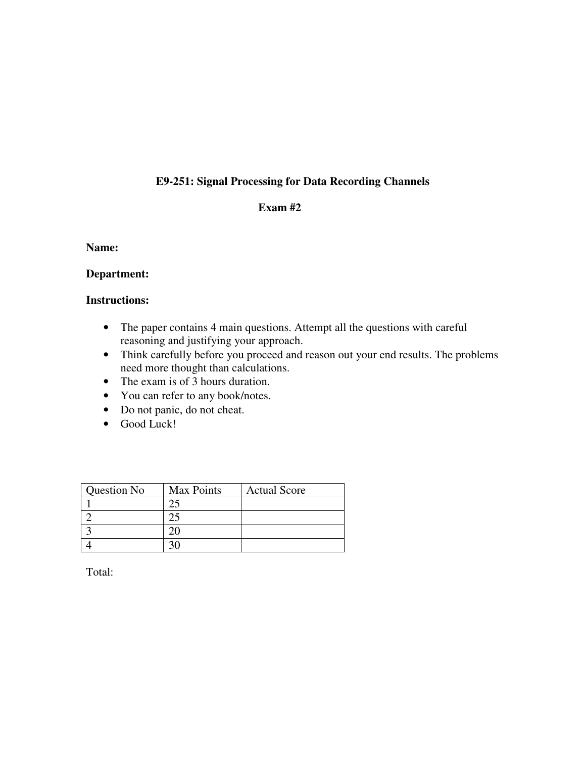# **E9-251: Signal Processing for Data Recording Channels**

## **Exam #2**

#### **Name:**

## **Department:**

## **Instructions:**

- The paper contains 4 main questions. Attempt all the questions with careful reasoning and justifying your approach.
- Think carefully before you proceed and reason out your end results. The problems need more thought than calculations.
- The exam is of 3 hours duration.
- You can refer to any book/notes.
- Do not panic, do not cheat.
- Good Luck!

| Question No | <b>Max Points</b> | <b>Actual Score</b> |
|-------------|-------------------|---------------------|
|             |                   |                     |
|             |                   |                     |
|             |                   |                     |
|             |                   |                     |

Total: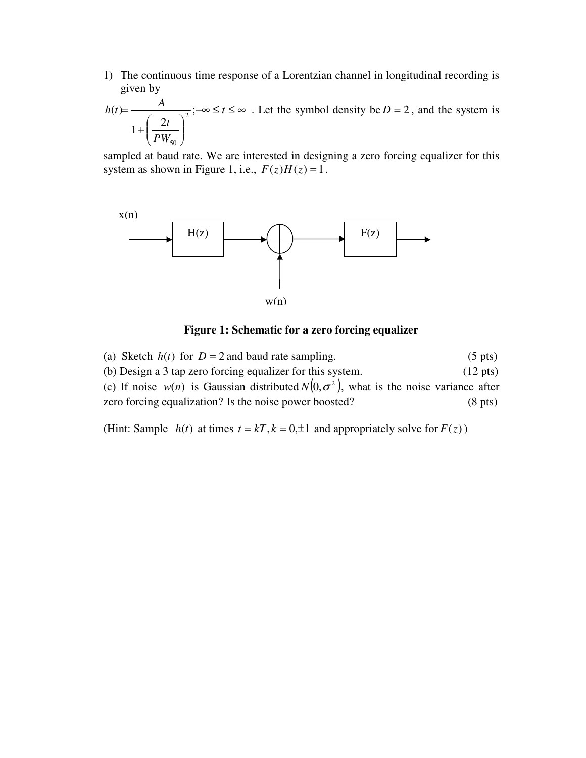1) The continuous time response of a Lorentzian channel in longitudinal recording is given by

$$
h(t) = \frac{A}{1 + \left(\frac{2t}{PW_{50}}\right)^2}; -\infty \le t \le \infty
$$
. Let the symbol density be  $D = 2$ , and the system is

sampled at baud rate. We are interested in designing a zero forcing equalizer for this system as shown in Figure 1, i.e.,  $F(z)H(z) = 1$ .



#### **Figure 1: Schematic for a zero forcing equalizer**

(a) Sketch  $h(t)$  for  $D = 2$  and baud rate sampling. (5 pts) (b) Design a 3 tap zero forcing equalizer for this system. (12 pts) (c) If noise  $w(n)$  is Gaussian distributed  $N(0, \sigma^2)$ , what is the noise variance after zero forcing equalization? Is the noise power boosted? (8 pts)

(Hint: Sample  $h(t)$  at times  $t = kT$ ,  $k = 0, \pm 1$  and appropriately solve for  $F(z)$ )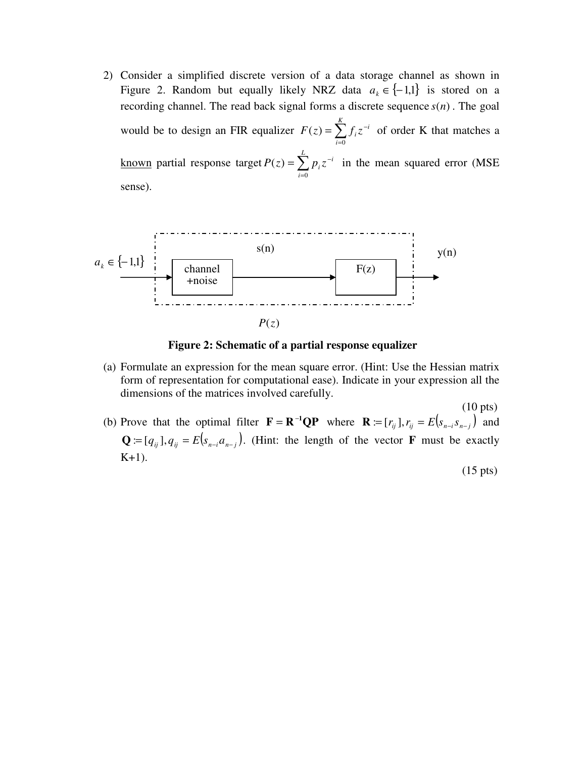2) Consider a simplified discrete version of a data storage channel as shown in Figure 2. Random but equally likely NRZ data  $a_k \in \{-1,1\}$  is stored on a recording channel. The read back signal forms a discrete sequence  $s(n)$ . The goal would be to design an FIR equalizer  $F(z) = \sum_{n=1}^{\infty}$ =  $=\sum f_i z^-$ *K i*  $F(z) = \sum f_i z^{-i}$ 0  $(z) = \sum f_i z^{-i}$  of order K that matches a <u>known</u> partial response target  $P(z) = \sum_{n=1}^{\infty}$ =  $=\sum_{i}p_{i}z^{-}$ *L i*  $P(z) = \sum p_i z^{-i}$  $\boldsymbol{0}$  $(z) = \sum p_i z^{-i}$  in the mean squared error (MSE) sense).



**Figure 2: Schematic of a partial response equalizer**

- (a) Formulate an expression for the mean square error. (Hint: Use the Hessian matrix form of representation for computational ease). Indicate in your expression all the dimensions of the matrices involved carefully.
- $(10 \text{ pts})$ (b) Prove that the optimal filter  $\mathbf{F} = \mathbf{R}^{-1} \mathbf{Q} \mathbf{P}$  where  $\mathbf{R} := [r_{ij}], r_{ij} = E[s_{n-i}s_{n-j}]$  and  $\mathbf{Q} := [q_{ij}], q_{ij} = E[s_{n-i}a_{n-j}]$ . (Hint: the length of the vector **F** must be exactly  $K+1$ ).

(15 pts)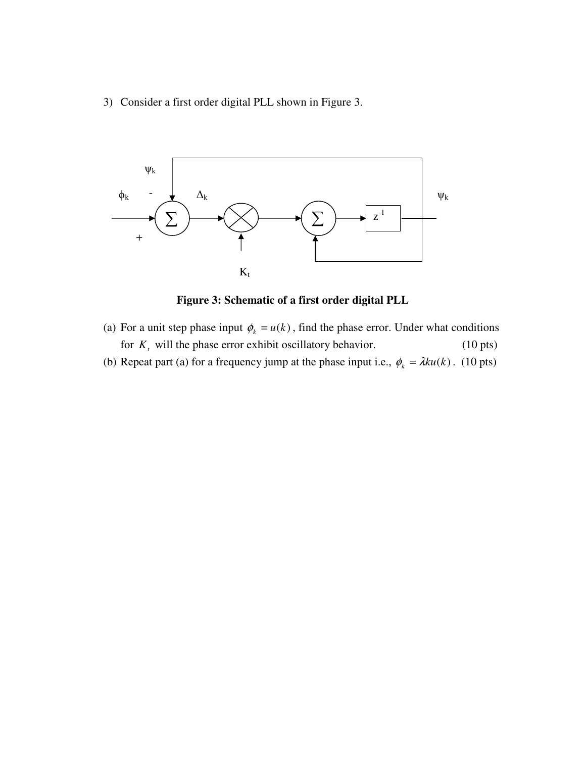3) Consider a first order digital PLL shown in Figure 3.



**Figure 3: Schematic of a first order digital PLL** 

- (a) For a unit step phase input  $\phi_k = u(k)$ , find the phase error. Under what conditions for  $K_t$  will the phase error exhibit oscillatory behavior. (10 pts)
- (b) Repeat part (a) for a frequency jump at the phase input i.e.,  $\phi_k = \lambda k u(k)$ . (10 pts)